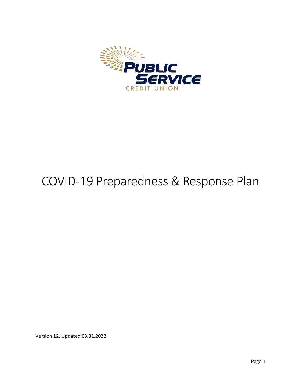

# COVID-19 Preparedness & Response Plan

Version 12, Updated 03.31.2022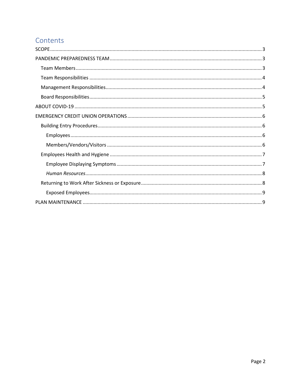# Contents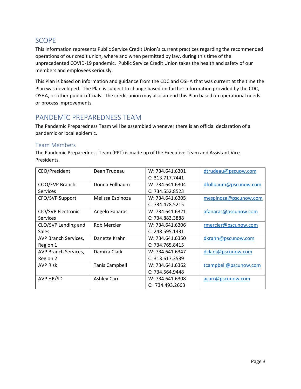# SCOPE

This information represents Public Service Credit Union's current practices regarding the recommended operations of our credit union, where and when permitted by law, during this time of the unprecedented COVID-19 pandemic. Public Service Credit Union takes the health and safety of our members and employees seriously.

This Plan is based on information and guidance from the CDC and OSHA that was current at the time the Plan was developed. The Plan is subject to change based on further information provided by the CDC, OSHA, or other public officials. The credit union may also amend this Plan based on operational needs or process improvements.

# PANDEMIC PREPAREDNESS TEAM

The Pandemic Preparedness Team will be assembled whenever there is an official declaration of a pandemic or local epidemic.

## Team Members

The Pandemic Preparedness Team (PPT) is made up of the Executive Team and Assistant Vice Presidents.

| CEO/President        | Dean Trudeau          | W: 734.641.6301 | dtrudeau@pscuow.com   |
|----------------------|-----------------------|-----------------|-----------------------|
|                      |                       | C: 313.717.7441 |                       |
| COO/EVP Branch       | Donna Follbaum        | W: 734.641.6304 | dfollbaum@pscunow.com |
| <b>Services</b>      |                       | C: 734.552.8523 |                       |
| CFO/SVP Support      | Melissa Espinoza      | W: 734.641.6305 | mespinoza@pscunow.com |
|                      |                       | C: 734.478.5215 |                       |
| CIO/SVP Electronic   | Angelo Fanaras        | W: 734.641.6321 | afanaras@pscunow.com  |
| <b>Services</b>      |                       | C: 734.883.3888 |                       |
| CLO/SVP Lending and  | <b>Rob Mercier</b>    | W: 734.641.6306 | rmercier@pscunow.com  |
| Sales                |                       | C: 248.595.1431 |                       |
| AVP Branch Services, | Danette Krahn         | W: 734.641.6350 | dkrahn@pscunow.com    |
| Region 1             |                       | C: 734.765.8415 |                       |
| AVP Branch Services, | Damika Clark          | W: 734.641.6347 | dclark@pscunow.com    |
| Region 2             |                       | C: 313.617.3539 |                       |
| <b>AVP Risk</b>      | <b>Tanis Campbell</b> | W: 734.641.6362 | tcampbell@pscunow.com |
|                      |                       | C: 734.564.9448 |                       |
| AVP HR/SD            | <b>Ashley Carr</b>    | W: 734.641.6308 | acarr@pscunow.com     |
|                      |                       | C: 734.493.2663 |                       |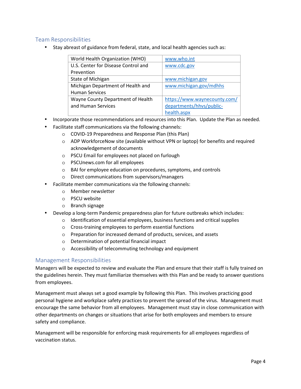## Team Responsibilities

• Stay abreast of guidance from federal, state, and local health agencies such as:

| World Health Organization (WHO)     | www.who.int                  |  |
|-------------------------------------|------------------------------|--|
| U.S. Center for Disease Control and | www.cdc.gov                  |  |
| Prevention                          |                              |  |
| State of Michigan                   | www.michigan.gov             |  |
| Michigan Department of Health and   | www.michigan.gov/mdhhs       |  |
| <b>Human Services</b>               |                              |  |
| Wayne County Department of Health   | https://www.waynecounty.com/ |  |
| and Human Services                  | departments/hhvs/public-     |  |
|                                     | health.aspx                  |  |

- Incorporate those recommendations and resources into this Plan. Update the Plan as needed.
- Facilitate staff communications via the following channels:
	- o COVID-19 Preparedness and Response Plan (this Plan)
	- $\circ$  ADP WorkforceNow site (available without VPN or laptop) for benefits and required acknowledgement of documents
	- o PSCU Email for employees not placed on furlough
	- o PSCUnews.com for all employees
	- o BAI for employee education on procedures, symptoms, and controls
	- o Direct communications from supervisors/managers
- Facilitate member communications via the following channels:
	- o Member newsletter
	- o PSCU website
	- o Branch signage
- Develop a long-term Pandemic preparedness plan for future outbreaks which includes:
	- o Identification of essential employees, business functions and critical supplies
	- o Cross-training employees to perform essential functions
	- o Preparation for increased demand of products, services, and assets
	- o Determination of potential financial impact
	- o Accessibility of telecommuting technology and equipment

#### Management Responsibilities

Managers will be expected to review and evaluate the Plan and ensure that their staff is fully trained on the guidelines herein. They must familiarize themselves with this Plan and be ready to answer questions from employees.

Management must always set a good example by following this Plan. This involves practicing good personal hygiene and workplace safety practices to prevent the spread of the virus. Management must encourage the same behavior from all employees. Management must stay in close communication with other departments on changes or situations that arise for both employees and members to ensure safety and compliance.

Management will be responsible for enforcing mask requirements for all employees regardless of vaccination status.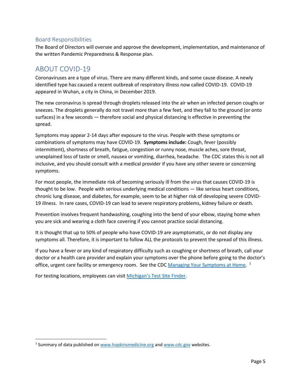## Board Responsibilities

The Board of Directors will oversee and approve the development, implementation, and maintenance of the written Pandemic Preparedness & Response plan.

# ABOUT COVID-19

Coronaviruses are a type of virus. There are many different kinds, and some cause disease. A newly identified type has caused a recent outbreak of respiratory illness now called COVID-19. COVID-19 appeared in Wuhan, a city in China, in December 2019.

The new coronavirus is spread through droplets released into the air when an infected person coughs or sneezes. The droplets generally do not travel more than a few feet, and they fall to the ground (or onto surfaces) in a few seconds — therefore social and physical distancing is effective in preventing the spread.

Symptoms may appear 2-14 days after exposure to the virus. People with these symptoms or combinations of symptoms may have COVID-19. **Symptoms include:** Cough, fever (possibly intermittent), shortness of breath, fatigue, congestion or runny nose, muscle aches, sore throat, unexplained loss of taste or smell, nausea or vomiting, diarrhea, headache. The CDC states this is not all inclusive, and you should consult with a medical provider if you have any other severe or concerning symptoms.

For most people, the immediate risk of becoming seriously ill from the virus that causes COVID-19 is thought to be low. People with serious underlying medical conditions — like serious heart conditions, chronic lung disease, and diabetes, for example, seem to be at higher risk of developing severe COVID-19 illness. In rare cases, COVID-19 can lead to severe respiratory problems, kidney failure or death.

Prevention involves frequent handwashing, coughing into the bend of your elbow, staying home when you are sick and wearing a cloth face covering if you cannot practice social distancing.

It is thought that up to 50% of people who have COVID-19 are asymptomatic, or do not display any symptoms all. Therefore, it is important to follow ALL the protocols to prevent the spread of this illness.

If you have a fever or any kind of respiratory difficulty such as coughing or shortness of breath, call your doctor or a health care provider and explain your symptoms over the phone before going to the doctor's office, urgent care facility or emergency room. See the CDC Managing Your Symptoms at Home.<sup>1</sup>

For testing locations, employees can visit Michigan's Test Site Finder.

<sup>&</sup>lt;sup>1</sup> Summary of data published on www.hopkinsmedicine.org and www.cdc.gov websites.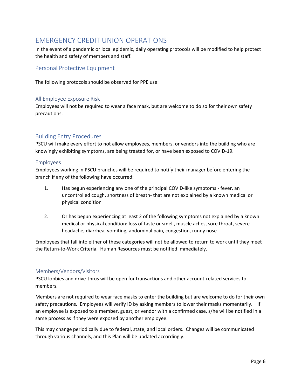# EMERGENCY CREDIT UNION OPERATIONS

In the event of a pandemic or local epidemic, daily operating protocols will be modified to help protect the health and safety of members and staff.

## Personal Protective Equipment

The following protocols should be observed for PPE use:

#### All Employee Exposure Risk

Employees will not be required to wear a face mask, but are welcome to do so for their own safety precautions.

## Building Entry Procedures

PSCU will make every effort to not allow employees, members, or vendors into the building who are knowingly exhibiting symptoms, are being treated for, or have been exposed to COVID-19.

#### Employees

Employees working in PSCU branches will be required to notify their manager before entering the branch if any of the following have occurred:

- 1. Has begun experiencing any one of the principal COVID-like symptoms fever, an uncontrolled cough, shortness of breath- that are not explained by a known medical or physical condition
- 2. Or has begun experiencing at least 2 of the following symptoms not explained by a known medical or physical condition: loss of taste or smell, muscle aches, sore throat, severe headache, diarrhea, vomiting, abdominal pain, congestion, runny nose

Employees that fall into either of these categories will not be allowed to return to work until they meet the Return-to-Work Criteria. Human Resources must be notified immediately.

#### Members/Vendors/Visitors

PSCU lobbies and drive-thrus will be open for transactions and other account-related services to members.

Members are not required to wear face masks to enter the building but are welcome to do for their own safety precautions. Employees will verify ID by asking members to lower their masks momentarily. If an employee is exposed to a member, guest, or vendor with a confirmed case, s/he will be notified in a same process as if they were exposed by another employee.

This may change periodically due to federal, state, and local orders. Changes will be communicated through various channels, and this Plan will be updated accordingly.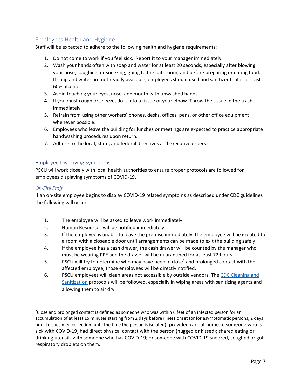## Employees Health and Hygiene

Staff will be expected to adhere to the following health and hygiene requirements:

- 1. Do not come to work if you feel sick. Report it to your manager immediately.
- 2. Wash your hands often with soap and water for at least 20 seconds, especially after blowing your nose, coughing, or sneezing; going to the bathroom; and before preparing or eating food. If soap and water are not readily available, employees should use hand sanitizer that is at least 60% alcohol.
- 3. Avoid touching your eyes, nose, and mouth with unwashed hands.
- 4. If you must cough or sneeze, do it into a tissue or your elbow. Throw the tissue in the trash immediately.
- 5. Refrain from using other workers' phones, desks, offices, pens, or other office equipment whenever possible.
- 6. Employees who leave the building for lunches or meetings are expected to practice appropriate handwashing procedures upon return.
- 7. Adhere to the local, state, and federal directives and executive orders.

#### Employee Displaying Symptoms

PSCU will work closely with local health authorities to ensure proper protocols are followed for employees displaying symptoms of COVID-19.

#### *On-Site Staff*

If an on-site employee begins to display COVID-19 related symptoms as described under CDC guidelines the following will occur:

- 1. The employee will be asked to leave work immediately
- 2. Human Resources will be notified immediately
- 3. If the employee is unable to leave the premise immediately, the employee will be isolated to a room with a closeable door until arrangements can be made to exit the building safely
- 4. If the employee has a cash drawer, the cash drawer will be counted by the manager who must be wearing PPE and the drawer will be quarantined for at least 72 hours.
- 5. PSCU will try to determine who may have been in close<sup>2</sup> and prolonged contact with the affected employee, those employees will be directly notified.
- 6. PSCU employees will clean areas not accessible by outside vendors. The CDC Cleaning and Sanitization protocols will be followed, especially in wiping areas with sanitizing agents and allowing them to air dry.

<sup>&</sup>lt;sup>2</sup>Close and prolonged contact is defined as someone who was within 6 feet of an infected person for an accumulation of at least 15 minutes starting from 2 days before illness onset (or for asymptomatic persons, 2 days prior to specimen collection) until the time the person is isolated); provided care at home to someone who is sick with COVID-19; had direct physical contact with the person (hugged or kissed); shared eating or drinking utensils with someone who has COVID-19; or someone with COVID-19 sneezed, coughed or got respiratory droplets on them.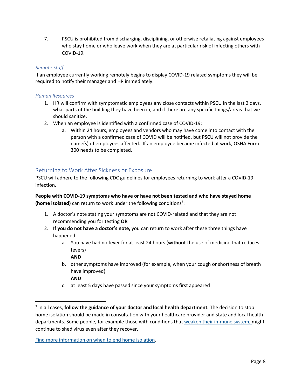7. PSCU is prohibited from discharging, disciplining, or otherwise retaliating against employees who stay home or who leave work when they are at particular risk of infecting others with COVID-19.

#### *Remote Staff*

If an employee currently working remotely begins to display COVID-19 related symptoms they will be required to notify their manager and HR immediately.

#### *Human Resources*

- 1. HR will confirm with symptomatic employees any close contacts within PSCU in the last 2 days, what parts of the building they have been in, and if there are any specific things/areas that we should sanitize.
- 2. When an employee is identified with a confirmed case of COVID-19:
	- a. Within 24 hours, employees and vendors who may have come into contact with the person with a confirmed case of COVID will be notified, but PSCU will not provide the name(s) of employees affected. If an employee became infected at work, OSHA Form 300 needs to be completed.

## Returning to Work After Sickness or Exposure

PSCU will adhere to the following CDC guidelines for employees returning to work after a COVID-19 infection.

**People with COVID-19 symptoms who have or have not been tested and who have stayed home**  (home isolated) can return to work under the following conditions<sup>3</sup>:

- 1. A doctor's note stating your symptoms are not COVID-related and that they are not recommending you for testing **OR**
- 2. **If you do not have a doctor's note,** you can return to work after these three things have happened:
	- a. You have had no fever for at least 24 hours (**without** the use of medicine that reduces fevers)

**AND**

b. other symptoms have improved (for example, when your cough or shortness of breath have improved)

**AND**

c. at least 5 days have passed since your symptoms first appeared

Find more information on when to end home isolation.

<sup>3</sup> In all cases, **follow the guidance of your doctor and local health department.** The decision to stop home isolation should be made in consultation with your healthcare provider and state and local health departments. Some people, for example those with conditions that weaken their immune system, might continue to shed virus even after they recover.